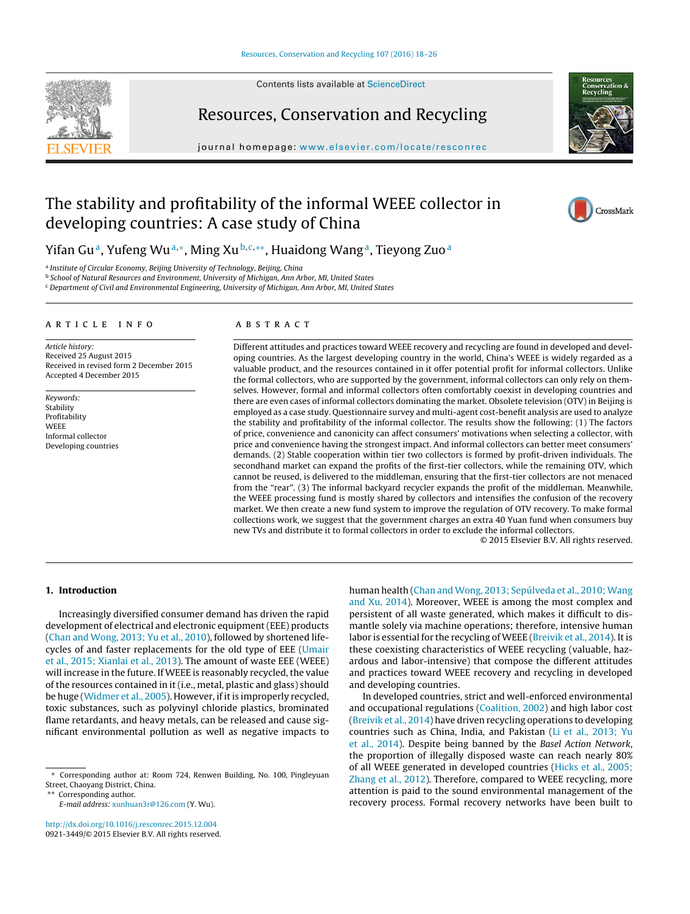

Contents lists available at [ScienceDirect](http://www.sciencedirect.com/science/journal/09213449)

# Resources, Conservation and Recycling

iournal homepage: [www.elsevier.com/locate/resconrec](http://www.elsevier.com/locate/resconrec)



# The stability and profitability of the informal WEEE collector in developing countries: A case study of China



Yifan Gu<sup>a</sup>, Yufeng Wu<sup>a,∗</sup>, Ming Xu<sup>b,c,∗∗</sup>, Huaidong Wang<sup>a</sup>, Tieyong Zuo<sup>a</sup>

a Institute of Circular Economy, Beijing University of Technology, Beijing, China

**b School of Natural Resources and Environment, University of Michigan, Ann Arbor, MI, United States** 

<sup>c</sup> Department of Civil and Environmental Engineering, University of Michigan, Ann Arbor, MI, United States

# a r t i c l e i n f o

Article history: Received 25 August 2015 Received in revised form 2 December 2015 Accepted 4 December 2015

Keywords: Stability Profitability **WEEE** Informal collector Developing countries

# A B S T R A C T

Different attitudes and practices toward WEEE recovery and recycling are found in developed and developing countries. As the largest developing country in the world, China's WEEE is widely regarded as a valuable product, and the resources contained in it offer potential profit for informal collectors. Unlike the formal collectors, who are supported by the government, informal collectors can only rely on themselves. However, formal and informal collectors often comfortably coexist in developing countries and there are even cases of informal collectors dominating the market. Obsolete television (OTV) in Beijing is employed as a case study. Questionnaire survey and multi-agent cost-benefit analysis are used to analyze the stability and profitability of the informal collector. The results show the following: (1) The factors of price, convenience and canonicity can affect consumers' motivations when selecting a collector, with price and convenience having the strongest impact. And informal collectors can better meet consumers' demands. (2) Stable cooperation within tier two collectors is formed by profit-driven individuals. The secondhand market can expand the profits of the first-tier collectors, while the remaining OTV, which cannot be reused, is delivered to the middleman, ensuring that the first-tier collectors are not menaced from the "rear". (3) The informal backyard recycler expands the profit of the middleman. Meanwhile, the WEEE processing fund is mostly shared by collectors and intensifies the confusion of the recovery market. We then create a new fund system to improve the regulation of OTV recovery. To make formal collections work, we suggest that the government charges an extra 40 Yuan fund when consumers buy new TVs and distribute it to formal collectors in order to exclude the informal collectors.

© 2015 Elsevier B.V. All rights reserved.

# **1. Introduction**

Increasingly diversified consumer demand has driven the rapid development of electrical and electronic equipment (EEE) products ([Chan](#page-7-0) [and](#page-7-0) [Wong,](#page-7-0) [2013;](#page-7-0) [Yu](#page-7-0) et [al.,](#page-7-0) [2010\),](#page-7-0) followed by shortened lifecycles of and faster replacements for the old type of EEE ([Umair](#page-8-0) et [al.,](#page-8-0) [2015;](#page-8-0) [Xianlai](#page-8-0) et [al.,](#page-8-0) [2013\).](#page-8-0) The amount of waste EEE (WEEE) will increase in the future. If WEEE is reasonably recycled, the value of the resources contained in it (i.e., metal, plastic and glass) should be huge ([Widmer](#page-8-0) et [al.,](#page-8-0) [2005\).](#page-8-0) However, if it is improperly recycled, toxic substances, such as polyvinyl chloride plastics, brominated flame retardants, and heavy metals, can be released and cause significant environmental pollution as well as negative impacts to

∗∗ Corresponding author.

E-mail address: [xunhuan3r@126.com](mailto:xunhuan3r@126.com) (Y. Wu).

[http://dx.doi.org/10.1016/j.resconrec.2015.12.004](dx.doi.org/10.1016/j.resconrec.2015.12.004) 0921-3449/© 2015 Elsevier B.V. All rights reserved. human health ([Chan](#page-7-0) [and](#page-7-0) [Wong,](#page-7-0) [2013;](#page-7-0) [Sepúlveda](#page-7-0) et [al.,](#page-7-0) [2010;](#page-7-0) [Wang](#page-7-0) [and](#page-7-0) [Xu,](#page-7-0) [2014\).](#page-7-0) Moreover, WEEE is among the most complex and persistent of all waste generated, which makes it difficult to dismantle solely via machine operations; therefore, intensive human labor is essential for the recycling of WEEE [\(Breivik](#page-7-0) et [al.,](#page-7-0) [2014\).](#page-7-0) It is these coexisting characteristics of WEEE recycling (valuable, hazardous and labor-intensive) that compose the different attitudes and practices toward WEEE recovery and recycling in developed and developing countries.

In developed countries, strict and well-enforced environmental and occupational regulations [\(Coalition,](#page-7-0) [2002\)](#page-7-0) and high labor cost [\(Breivik](#page-7-0) et [al.,](#page-7-0) [2014\)](#page-7-0) have driven recycling operations to developing countries such as China, India, and Pakistan ([Li](#page-8-0) et [al.,](#page-8-0) [2013;](#page-8-0) [Yu](#page-8-0) et [al.,](#page-8-0) [2014\).](#page-8-0) Despite being banned by the Basel Action Network, the proportion of illegally disposed waste can reach nearly 80% of all WEEE generated in developed countries ([Hicks](#page-8-0) et [al.,](#page-8-0) [2005;](#page-8-0) [Zhang](#page-8-0) et [al.,](#page-8-0) [2012\).](#page-8-0) Therefore, compared to WEEE recycling, more attention is paid to the sound environmental management of the recovery process. Formal recovery networks have been built to

<sup>∗</sup> Corresponding author at: Room 724, Renwen Building, No. 100, Pingleyuan Street, Chaoyang District, China.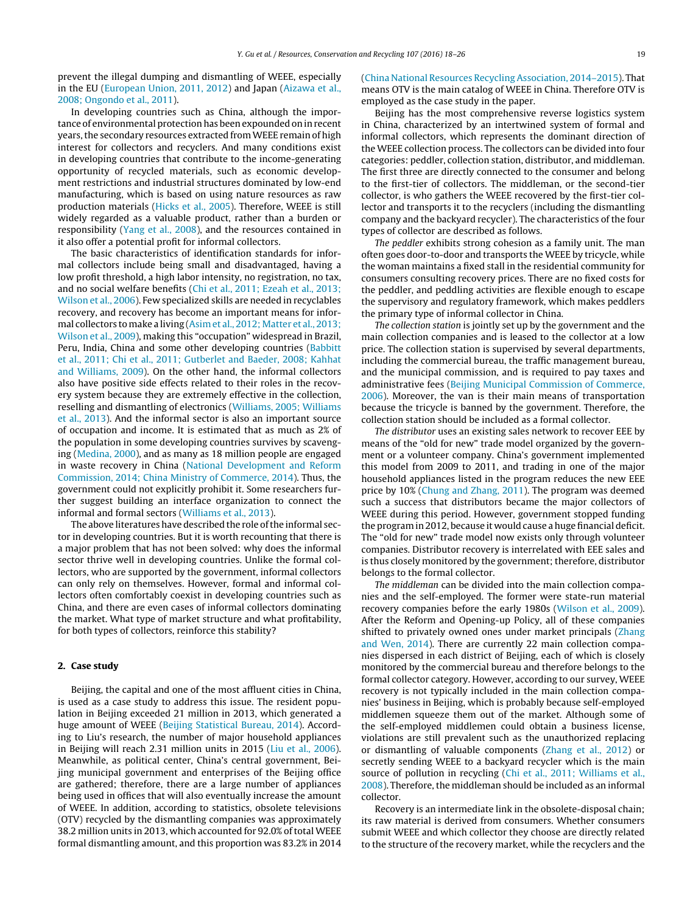prevent the illegal dumping and dismantling of WEEE, especially in the EU [\(European](#page-7-0) [Union,](#page-7-0) [2011,](#page-7-0) [2012\)](#page-7-0) and Japan [\(Aizawa](#page-7-0) et [al.,](#page-7-0) [2008;](#page-7-0) [Ongondo](#page-7-0) et [al.,](#page-7-0) [2011\).](#page-7-0)

In developing countries such as China, although the importance of environmental protection has been expounded on in recent years, the secondary resources extracted from WEEE remain of high interest for collectors and recyclers. And many conditions exist in developing countries that contribute to the income-generating opportunity of recycled materials, such as economic development restrictions and industrial structures dominated by low-end manufacturing, which is based on using nature resources as raw production materials [\(Hicks](#page-8-0) et [al.,](#page-8-0) [2005\).](#page-8-0) Therefore, WEEE is still widely regarded as a valuable product, rather than a burden or responsibility ([Yang](#page-8-0) et [al.,](#page-8-0) [2008\),](#page-8-0) and the resources contained in it also offer a potential profit for informal collectors.

The basic characteristics of identification standards for informal collectors include being small and disadvantaged, having a low profit threshold, a high labor intensity, no registration, no tax, and no social welfare benefits [\(Chi](#page-7-0) et [al.,](#page-7-0) [2011;](#page-7-0) [Ezeah](#page-7-0) et [al.,](#page-7-0) [2013;](#page-7-0) [Wilson](#page-7-0) et [al.,](#page-7-0) [2006\).](#page-7-0) Few specialized skills are needed in recyclables recovery, and recovery has become an important means for informal collectors to make a living [\(Asim](#page-7-0) et [al.,](#page-7-0) [2012;](#page-7-0) [Matter](#page-7-0) et [al.,](#page-7-0) [2013;](#page-7-0) [Wilson](#page-7-0) et [al.,](#page-7-0) [2009\),](#page-7-0) making this "occupation" widespread in Brazil, Peru, India, China and some other developing countries ([Babbitt](#page-7-0) et [al.,](#page-7-0) [2011;](#page-7-0) [Chi](#page-7-0) et [al.,](#page-7-0) [2011;](#page-7-0) [Gutberlet](#page-7-0) [and](#page-7-0) [Baeder,](#page-7-0) [2008;](#page-7-0) [Kahhat](#page-7-0) [and](#page-7-0) [Williams,](#page-7-0) [2009\).](#page-7-0) On the other hand, the informal collectors also have positive side effects related to their roles in the recovery system because they are extremely effective in the collection, reselling and dismantling of electronics ([Williams,](#page-8-0) [2005;](#page-8-0) [Williams](#page-8-0) et [al.,](#page-8-0) [2013\).](#page-8-0) And the informal sector is also an important source of occupation and income. It is estimated that as much as 2% of the population in some developing countries survives by scavenging ([Medina,](#page-8-0) [2000\),](#page-8-0) and as many as 18 million people are engaged in waste recovery in China ([National](#page-8-0) [Development](#page-8-0) [and](#page-8-0) [Reform](#page-8-0) [Commission,](#page-8-0) [2014;](#page-8-0) [China](#page-8-0) [Ministry](#page-8-0) [of](#page-8-0) [Commerce,](#page-8-0) [2014\).](#page-8-0) Thus, the government could not explicitly prohibit it. Some researchers further suggest building an interface organization to connect the informal and formal sectors [\(Williams](#page-8-0) et [al.,](#page-8-0) [2013\).](#page-8-0)

The above literatures have described the role of the informal sector in developing countries. But it is worth recounting that there is a major problem that has not been solved: why does the informal sector thrive well in developing countries. Unlike the formal collectors, who are supported by the government, informal collectors can only rely on themselves. However, formal and informal collectors often comfortably coexist in developing countries such as China, and there are even cases of informal collectors dominating the market. What type of market structure and what profitability, for both types of collectors, reinforce this stability?

# **2. Case study**

Beijing, the capital and one of the most affluent cities in China, is used as a case study to address this issue. The resident population in Beijing exceeded 21 million in 2013, which generated a huge amount of WEEE [\(Beijing](#page-7-0) [Statistical](#page-7-0) [Bureau,](#page-7-0) [2014\).](#page-7-0) According to Liu's research, the number of major household appliances in Beijing will reach 2.31 million units in 2015 ([Liu](#page-8-0) et [al.,](#page-8-0) [2006\).](#page-8-0) Meanwhile, as political center, China's central government, Beijing municipal government and enterprises of the Beijing office are gathered; therefore, there are a large number of appliances being used in offices that will also eventually increase the amount of WEEE. In addition, according to statistics, obsolete televisions (OTV) recycled by the dismantling companies was approximately 38.2 million units in 2013, which accounted for 92.0% of total WEEE formal dismantling amount, and this proportion was 83.2% in 2014 [\(China](#page-7-0) [National](#page-7-0) [Resources](#page-7-0) [Recycling](#page-7-0) [Association,](#page-7-0) [2014–2015\).](#page-7-0) That means OTV is the main catalog of WEEE in China. Therefore OTV is employed as the case study in the paper.

Beijing has the most comprehensive reverse logistics system in China, characterized by an intertwined system of formal and informal collectors, which represents the dominant direction of the WEEE collection process. The collectors can be divided into four categories: peddler, collection station, distributor, and middleman. The first three are directly connected to the consumer and belong to the first-tier of collectors. The middleman, or the second-tier collector, is who gathers the WEEE recovered by the first-tier collector and transports it to the recyclers (including the dismantling company and the backyard recycler). The characteristics of the four types of collector are described as follows.

The peddler exhibits strong cohesion as a family unit. The man often goes door-to-door and transports the WEEE by tricycle, while the woman maintains a fixed stall in the residential community for consumers consulting recovery prices. There are no fixed costs for the peddler, and peddling activities are flexible enough to escape the supervisory and regulatory framework, which makes peddlers the primary type of informal collector in China.

The collection station is jointly set up by the government and the main collection companies and is leased to the collector at a low price. The collection station is supervised by several departments, including the commercial bureau, the traffic management bureau, and the municipal commission, and is required to pay taxes and administrative fees [\(Beijing](#page-7-0) [Municipal](#page-7-0) [Commission](#page-7-0) [of](#page-7-0) [Commerce,](#page-7-0) [2006\).](#page-7-0) Moreover, the van is their main means of transportation because the tricycle is banned by the government. Therefore, the collection station should be included as a formal collector.

The distributor uses an existing sales network to recover EEE by means of the "old for new" trade model organized by the government or a volunteer company. China's government implemented this model from 2009 to 2011, and trading in one of the major household appliances listed in the program reduces the new EEE price by 10% ([Chung](#page-7-0) [and](#page-7-0) [Zhang,](#page-7-0) [2011\).](#page-7-0) The program was deemed such a success that distributors became the major collectors of WEEE during this period. However, government stopped funding the program in 2012, because it would cause a huge financial deficit. The "old for new" trade model now exists only through volunteer companies. Distributor recovery is interrelated with EEE sales and is thus closely monitored by the government; therefore, distributor belongs to the formal collector.

The middleman can be divided into the main collection companies and the self-employed. The former were state-run material recovery companies before the early 1980s ([Wilson](#page-8-0) et [al.,](#page-8-0) [2009\).](#page-8-0) After the Reform and Opening-up Policy, all of these companies shifted to privately owned ones under market principals [\(Zhang](#page-8-0) [and](#page-8-0) [Wen,](#page-8-0) [2014\).](#page-8-0) There are currently 22 main collection companies dispersed in each district of Beijing, each of which is closely monitored by the commercial bureau and therefore belongs to the formal collector category. However, according to our survey, WEEE recovery is not typically included in the main collection companies' business in Beijing, which is probably because self-employed middlemen squeeze them out of the market. Although some of the self-employed middlemen could obtain a business license, violations are still prevalent such as the unauthorized replacing or dismantling of valuable components ([Zhang](#page-8-0) et [al.,](#page-8-0) [2012\)](#page-8-0) or secretly sending WEEE to a backyard recycler which is the main source of pollution in recycling [\(Chi](#page-7-0) et [al.,](#page-7-0) [2011;](#page-7-0) [Williams](#page-7-0) et [al.,](#page-7-0) [2008\).](#page-7-0) Therefore, the middleman should be included as an informal collector.

Recovery is an intermediate link in the obsolete-disposal chain; its raw material is derived from consumers. Whether consumers submit WEEE and which collector they choose are directly related to the structure of the recovery market, while the recyclers and the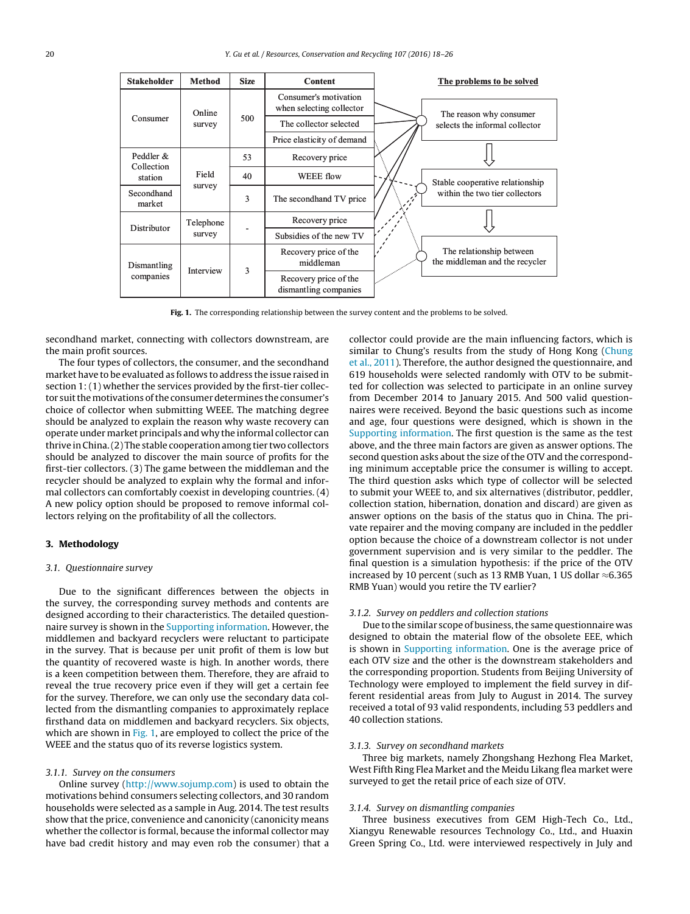<span id="page-2-0"></span>

**Fig. 1.** The corresponding relationship between the survey content and the problems to be solved.

secondhand market, connecting with collectors downstream, are the main profit sources.

The four types of collectors, the consumer, and the secondhand market have to be evaluated as follows to address the issue raised in section 1: (1) whether the services provided by the first-tier collector suit the motivations of the consumer determines the consumer's choice of collector when submitting WEEE. The matching degree should be analyzed to explain the reason why waste recovery can operate under market principals and why the informal collector can thrive in China.(2) The stable cooperation among tier two collectors should be analyzed to discover the main source of profits for the first-tier collectors. (3) The game between the middleman and the recycler should be analyzed to explain why the formal and informal collectors can comfortably coexist in developing countries. (4) A new policy option should be proposed to remove informal collectors relying on the profitability of all the collectors.

# **3. Methodology**

# 3.1. Questionnaire survey

Due to the significant differences between the objects in the survey, the corresponding survey methods and contents are designed according to their characteristics. The detailed questionnaire survey is shown in the [Supporting](#page-7-0) [information.](#page-7-0) However, the middlemen and backyard recyclers were reluctant to participate in the survey. That is because per unit profit of them is low but the quantity of recovered waste is high. In another words, there is a keen competition between them. Therefore, they are afraid to reveal the true recovery price even if they will get a certain fee for the survey. Therefore, we can only use the secondary data collected from the dismantling companies to approximately replace firsthand data on middlemen and backyard recyclers. Six objects, which are shown in Fig. 1, are employed to collect the price of the WEEE and the status quo of its reverse logistics system.

# 3.1.1. Survey on the consumers

Online survey [\(http://www.sojump.com](http://www.sojump.com/)) is used to obtain the motivations behind consumers selecting collectors, and 30 random households were selected as a sample in Aug. 2014. The test results show that the price, convenience and canonicity (canonicity means whether the collector is formal, because the informal collector may have bad credit history and may even rob the consumer) that a collector could provide are the main influencing factors, which is similar to Chung's results from the study of Hong Kong [\(Chung](#page-7-0) et [al.,](#page-7-0) [2011\).](#page-7-0) Therefore, the author designed the questionnaire, and 619 households were selected randomly with OTV to be submitted for collection was selected to participate in an online survey from December 2014 to January 2015. And 500 valid questionnaires were received. Beyond the basic questions such as income and age, four questions were designed, which is shown in the [Supporting](#page-7-0) [information.](#page-7-0) The first question is the same as the test above, and the three main factors are given as answer options. The second question asks about the size of the OTV and the corresponding minimum acceptable price the consumer is willing to accept. The third question asks which type of collector will be selected to submit your WEEE to, and six alternatives (distributor, peddler, collection station, hibernation, donation and discard) are given as answer options on the basis of the status quo in China. The private repairer and the moving company are included in the peddler option because the choice of a downstream collector is not under government supervision and is very similar to the peddler. The final question is a simulation hypothesis: if the price of the OTV increased by 10 percent (such as 13 RMB Yuan, 1 US dollar ≈6.365 RMB Yuan) would you retire the TV earlier?

## 3.1.2. Survey on peddlers and collection stations

Due to the similar scope of business, the same questionnaire was designed to obtain the material flow of the obsolete EEE, which is shown in [Supporting](#page-7-0) [information.](#page-7-0) One is the average price of each OTV size and the other is the downstream stakeholders and the corresponding proportion. Students from Beijing University of Technology were employed to implement the field survey in different residential areas from July to August in 2014. The survey received a total of 93 valid respondents, including 53 peddlers and 40 collection stations.

#### 3.1.3. Survey on secondhand markets

Three big markets, namely Zhongshang Hezhong Flea Market, West Fifth Ring Flea Market and the Meidu Likang flea market were surveyed to get the retail price of each size of OTV.

# 3.1.4. Survey on dismantling companies

Three business executives from GEM High-Tech Co., Ltd., Xiangyu Renewable resources Technology Co., Ltd., and Huaxin Green Spring Co., Ltd. were interviewed respectively in July and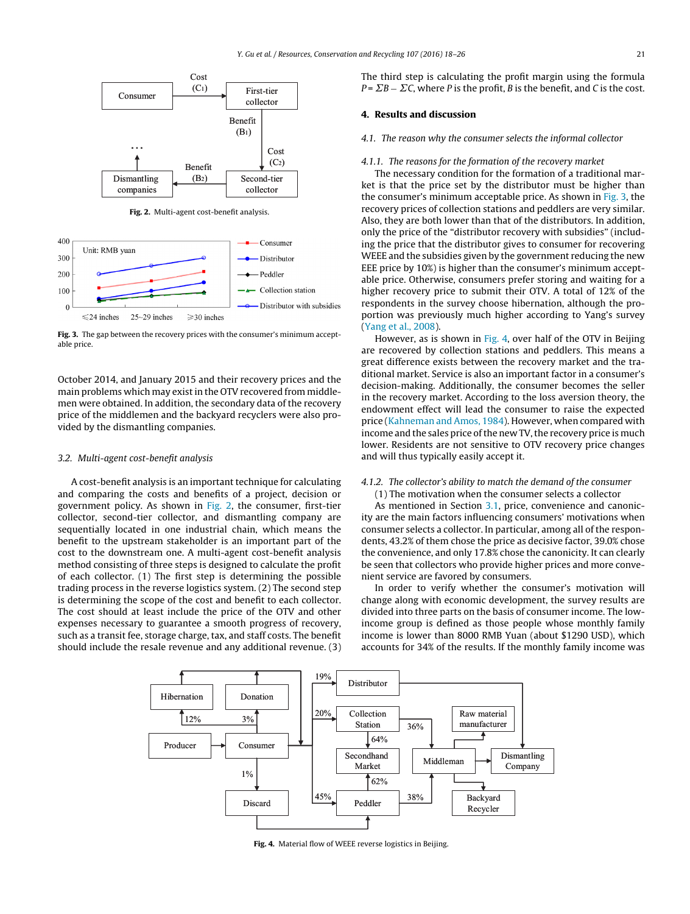<span id="page-3-0"></span>

**Fig. 2.** Multi-agent cost-benefit analysis.



**Fig. 3.** The gap between the recovery prices with the consumer's minimum acceptable price.

October 2014, and January 2015 and their recovery prices and the main problems which may existin the OTV recovered from middlemen were obtained. In addition, the secondary data of the recovery price of the middlemen and the backyard recyclers were also provided by the dismantling companies.

# 3.2. Multi-agent cost-benefit analysis

A cost-benefit analysis is an important technique for calculating and comparing the costs and benefits of a project, decision or government policy. As shown in Fig. 2, the consumer, first-tier collector, second-tier collector, and dismantling company are sequentially located in one industrial chain, which means the benefit to the upstream stakeholder is an important part of the cost to the downstream one. A multi-agent cost-benefit analysis method consisting of three steps is designed to calculate the profit of each collector. (1) The first step is determining the possible trading process in the reverse logistics system. (2) The second step is determining the scope of the cost and benefit to each collector. The cost should at least include the price of the OTV and other expenses necessary to guarantee a smooth progress of recovery, such as a transit fee, storage charge, tax, and staff costs. The benefit should include the resale revenue and any additional revenue. (3) The third step is calculating the profit margin using the formula  $P = \sum B - \sum C$ , where P is the profit, B is the benefit, and C is the cost.

# **4. Results and discussion**

### 4.1. The reason why the consumer selects the informal collector

# 4.1.1. The reasons for the formation of the recovery market

The necessary condition for the formation of a traditional market is that the price set by the distributor must be higher than the consumer's minimum acceptable price. As shown in Fig. 3, the recovery prices of collection stations and peddlers are very similar. Also, they are both lower than that of the distributors. In addition, only the price of the "distributor recovery with subsidies" (including the price that the distributor gives to consumer for recovering WEEE and the subsidies given by the government reducing the new EEE price by 10%) is higher than the consumer's minimum acceptable price. Otherwise, consumers prefer storing and waiting for a higher recovery price to submit their OTV. A total of 12% of the respondents in the survey choose hibernation, although the proportion was previously much higher according to Yang's survey [\(Yang](#page-8-0) et [al.,](#page-8-0) [2008\).](#page-8-0)

However, as is shown in Fig. 4, over half of the OTV in Beijing are recovered by collection stations and peddlers. This means a great difference exists between the recovery market and the traditional market. Service is also an important factor in a consumer's decision-making. Additionally, the consumer becomes the seller in the recovery market. According to the loss aversion theory, the endowment effect will lead the consumer to raise the expected price ([Kahneman](#page-8-0) [and](#page-8-0) [Amos,](#page-8-0) [1984\).](#page-8-0) However, when compared with income and the sales price of the new TV, the recovery price is much lower. Residents are not sensitive to OTV recovery price changes and will thus typically easily accept it.

# 4.1.2. The collector's ability to match the demand of the consumer (1) The motivation when the consumer selects a collector

As mentioned in Section [3.1,](#page-2-0) price, convenience and canonicity are the main factors influencing consumers' motivations when consumer selects a collector. In particular, among all of the respondents, 43.2% of them chose the price as decisive factor, 39.0% chose the convenience, and only 17.8% chose the canonicity. It can clearly be seen that collectors who provide higher prices and more convenient service are favored by consumers.

In order to verify whether the consumer's motivation will change along with economic development, the survey results are divided into three parts on the basis of consumer income. The lowincome group is defined as those people whose monthly family income is lower than 8000 RMB Yuan (about \$1290 USD), which accounts for 34% of the results. If the monthly family income was



**Fig. 4.** Material flow of WEEE reverse logistics in Beijing.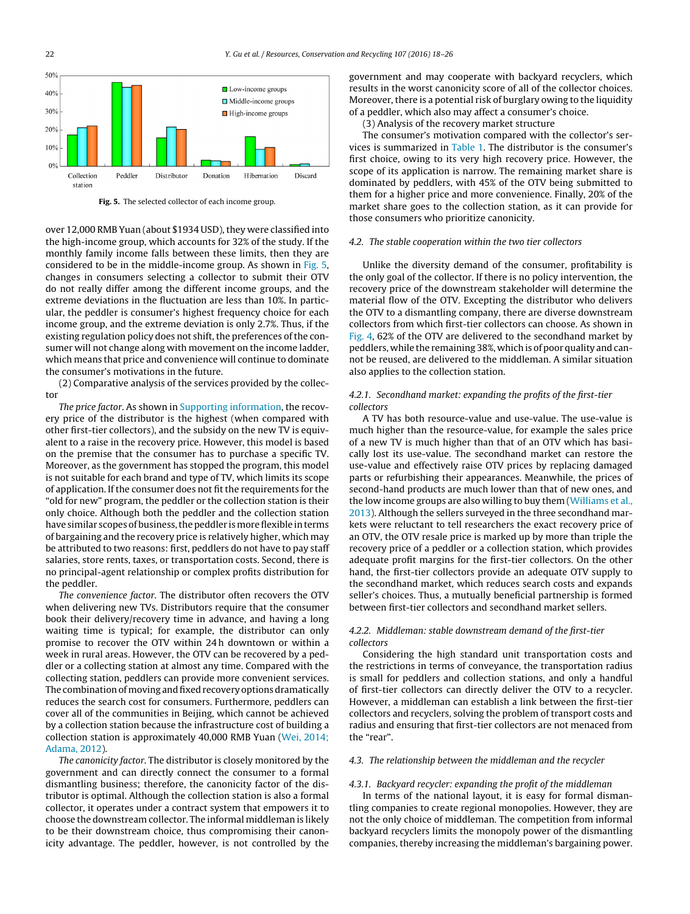

**Fig. 5.** The selected collector of each income group.

over 12,000 RMB Yuan (about \$1934 USD), they were classified into the high-income group, which accounts for 32% of the study. If the monthly family income falls between these limits, then they are considered to be in the middle-income group. As shown in Fig. 5, changes in consumers selecting a collector to submit their OTV do not really differ among the different income groups, and the extreme deviations in the fluctuation are less than 10%. In particular, the peddler is consumer's highest frequency choice for each income group, and the extreme deviation is only 2.7%. Thus, if the existing regulation policy does not shift, the preferences of the consumer will not change along with movement on the income ladder, which means that price and convenience will continue to dominate the consumer's motivations in the future.

(2) Comparative analysis of the services provided by the collector

The price factor. As shown in [Supporting](#page-7-0) [information,](#page-7-0) the recovery price of the distributor is the highest (when compared with other first-tier collectors), and the subsidy on the new TV is equivalent to a raise in the recovery price. However, this model is based on the premise that the consumer has to purchase a specific TV. Moreover, as the government has stopped the program, this model is not suitable for each brand and type of TV, which limits its scope of application. If the consumer does not fit the requirements for the "old for new" program, the peddler or the collection station is their only choice. Although both the peddler and the collection station have similar scopes of business, the peddler is more flexible in terms of bargaining and the recovery price is relatively higher, which may be attributed to two reasons: first, peddlers do not have to pay staff salaries, store rents, taxes, or transportation costs. Second, there is no principal-agent relationship or complex profits distribution for the peddler.

The convenience factor. The distributor often recovers the OTV when delivering new TVs. Distributors require that the consumer book their delivery/recovery time in advance, and having a long waiting time is typical; for example, the distributor can only promise to recover the OTV within 24 h downtown or within a week in rural areas. However, the OTV can be recovered by a peddler or a collecting station at almost any time. Compared with the collecting station, peddlers can provide more convenient services. The combination of moving and fixed recovery options dramatically reduces the search cost for consumers. Furthermore, peddlers can cover all of the communities in Beijing, which cannot be achieved by a collection station because the infrastructure cost of building a collection station is approximately 40,000 RMB Yuan [\(Wei,](#page-8-0) [2014;](#page-8-0) [Adama,](#page-8-0) [2012\).](#page-8-0)

The canonicity factor. The distributor is closely monitored by the government and can directly connect the consumer to a formal dismantling business; therefore, the canonicity factor of the distributor is optimal. Although the collection station is also a formal collector, it operates under a contract system that empowers it to choose the downstream collector. The informal middleman is likely to be their downstream choice, thus compromising their canonicity advantage. The peddler, however, is not controlled by the

government and may cooperate with backyard recyclers, which results in the worst canonicity score of all of the collector choices. Moreover, there is a potential risk of burglary owing to the liquidity of a peddler, which also may affect a consumer's choice.

(3) Analysis of the recovery market structure

The consumer's motivation compared with the collector's services is summarized in [Table](#page-5-0) 1. The distributor is the consumer's first choice, owing to its very high recovery price. However, the scope of its application is narrow. The remaining market share is dominated by peddlers, with 45% of the OTV being submitted to them for a higher price and more convenience. Finally, 20% of the market share goes to the collection station, as it can provide for those consumers who prioritize canonicity.

#### 4.2. The stable cooperation within the two tier collectors

Unlike the diversity demand of the consumer, profitability is the only goal of the collector. If there is no policy intervention, the recovery price of the downstream stakeholder will determine the material flow of the OTV. Excepting the distributor who delivers the OTV to a dismantling company, there are diverse downstream collectors from which first-tier collectors can choose. As shown in [Fig.](#page-3-0) 4, 62% of the OTV are delivered to the secondhand market by peddlers, while the remaining 38%, which is of poor quality and cannot be reused, are delivered to the middleman. A similar situation also applies to the collection station.

# 4.2.1. Secondhand market: expanding the profits of the first-tier collectors

A TV has both resource-value and use-value. The use-value is much higher than the resource-value, for example the sales price of a new TV is much higher than that of an OTV which has basically lost its use-value. The secondhand market can restore the use-value and effectively raise OTV prices by replacing damaged parts or refurbishing their appearances. Meanwhile, the prices of second-hand products are much lower than that of new ones, and the low income groups are also willing to buy them [\(Williams](#page-8-0) et [al.,](#page-8-0) [2013\).](#page-8-0) Although the sellers surveyed in the three secondhand markets were reluctant to tell researchers the exact recovery price of an OTV, the OTV resale price is marked up by more than triple the recovery price of a peddler or a collection station, which provides adequate profit margins for the first-tier collectors. On the other hand, the first-tier collectors provide an adequate OTV supply to the secondhand market, which reduces search costs and expands seller's choices. Thus, a mutually beneficial partnership is formed between first-tier collectors and secondhand market sellers.

# 4.2.2. Middleman: stable downstream demand of the first-tier collectors

Considering the high standard unit transportation costs and the restrictions in terms of conveyance, the transportation radius is small for peddlers and collection stations, and only a handful of first-tier collectors can directly deliver the OTV to a recycler. However, a middleman can establish a link between the first-tier collectors and recyclers, solving the problem of transport costs and radius and ensuring that first-tier collectors are not menaced from the "rear".

#### 4.3. The relationship between the middleman and the recycler

#### 4.3.1. Backyard recycler: expanding the profit of the middleman

In terms of the national layout, it is easy for formal dismantling companies to create regional monopolies. However, they are not the only choice of middleman. The competition from informal backyard recyclers limits the monopoly power of the dismantling companies, thereby increasing the middleman's bargaining power.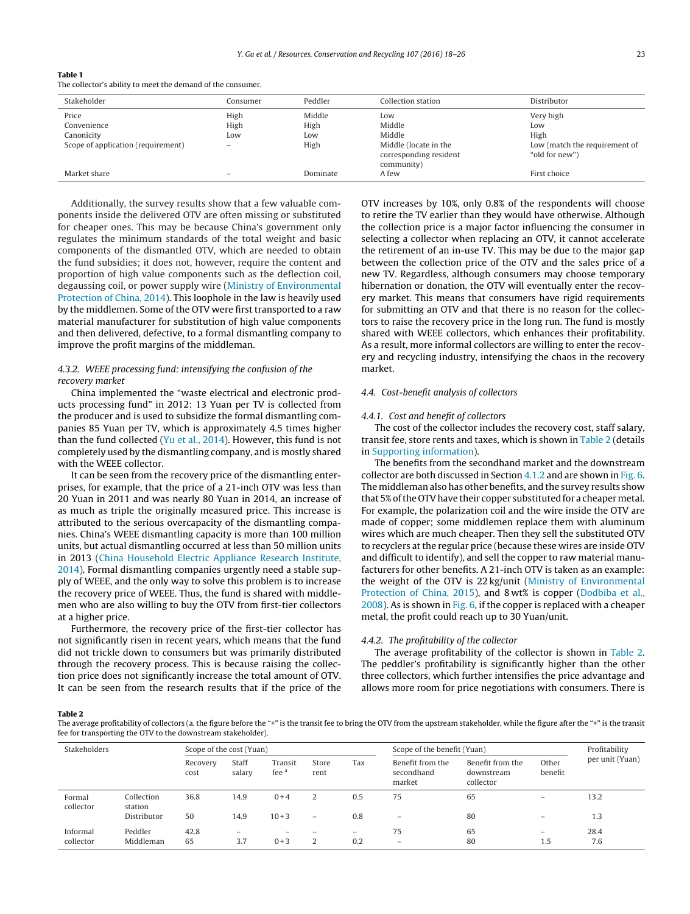#### <span id="page-5-0"></span>**Table 1**

The collector's ability to meet the demand of the consumer.

| Stakeholder                                                              | Consumer                                        | Peddler                       | Collection station                                                         | Distributor                                                                 |
|--------------------------------------------------------------------------|-------------------------------------------------|-------------------------------|----------------------------------------------------------------------------|-----------------------------------------------------------------------------|
| Price<br>Convenience<br>Canonicity<br>Scope of application (requirement) | High<br>High<br>Low<br>$\overline{\phantom{a}}$ | Middle<br>High<br>Low<br>High | Low<br>Middle<br>Middle<br>Middle (locate in the<br>corresponding resident | Very high<br>Low<br>High<br>Low (match the requirement of<br>"old for new") |
| Market share                                                             | $\overline{\phantom{0}}$                        | Dominate                      | community)<br>A few                                                        | First choice                                                                |

Additionally, the survey results show that a few valuable components inside the delivered OTV are often missing or substituted for cheaper ones. This may be because China's government only regulates the minimum standards of the total weight and basic components of the dismantled OTV, which are needed to obtain the fund subsidies; it does not, however, require the content and proportion of high value components such as the deflection coil, degaussing coil, or power supply wire [\(Ministry](#page-8-0) [of](#page-8-0) [Environmental](#page-8-0) [Protection](#page-8-0) [of](#page-8-0) [China,](#page-8-0) [2014\).](#page-8-0) This loophole in the law is heavily used by the middlemen. Some of the OTV were first transported to a raw material manufacturer for substitution of high value components and then delivered, defective, to a formal dismantling company to improve the profit margins of the middleman.

# 4.3.2. WEEE processing fund: intensifying the confusion of the recovery market

China implemented the "waste electrical and electronic products processing fund" in 2012: 13 Yuan per TV is collected from the producer and is used to subsidize the formal dismantling companies 85 Yuan per TV, which is approximately 4.5 times higher than the fund collected ([Yu](#page-8-0) et [al.,](#page-8-0) [2014\).](#page-8-0) However, this fund is not completely used by the dismantling company, and is mostly shared with the WEEE collector.

It can be seen from the recovery price of the dismantling enterprises, for example, that the price of a 21-inch OTV was less than 20 Yuan in 2011 and was nearly 80 Yuan in 2014, an increase of as much as triple the originally measured price. This increase is attributed to the serious overcapacity of the dismantling companies. China's WEEE dismantling capacity is more than 100 million units, but actual dismantling occurred at less than 50 million units in 2013 [\(China](#page-7-0) [Household](#page-7-0) [Electric](#page-7-0) [Appliance](#page-7-0) [Research](#page-7-0) [Institute,](#page-7-0) [2014\).](#page-7-0) Formal dismantling companies urgently need a stable supply of WEEE, and the only way to solve this problem is to increase the recovery price of WEEE. Thus, the fund is shared with middlemen who are also willing to buy the OTV from first-tier collectors at a higher price.

Furthermore, the recovery price of the first-tier collector has not significantly risen in recent years, which means that the fund did not trickle down to consumers but was primarily distributed through the recovery process. This is because raising the collection price does not significantly increase the total amount of OTV. It can be seen from the research results that if the price of the OTV increases by 10%, only 0.8% of the respondents will choose to retire the TV earlier than they would have otherwise. Although the collection price is a major factor influencing the consumer in selecting a collector when replacing an OTV, it cannot accelerate the retirement of an in-use TV. This may be due to the major gap between the collection price of the OTV and the sales price of a new TV. Regardless, although consumers may choose temporary hibernation or donation, the OTV will eventually enter the recovery market. This means that consumers have rigid requirements for submitting an OTV and that there is no reason for the collectors to raise the recovery price in the long run. The fund is mostly shared with WEEE collectors, which enhances their profitability. As a result, more informal collectors are willing to enter the recovery and recycling industry, intensifying the chaos in the recovery market.

# 4.4. Cost-benefit analysis of collectors

#### 4.4.1. Cost and benefit of collectors

The cost of the collector includes the recovery cost, staff salary, transit fee, store rents and taxes, which is shown in Table 2 (details in [Supporting](#page-7-0) [information\).](#page-7-0)

The benefits from the secondhand market and the downstream collector are both discussed in Section [4.1.2](#page-3-0) and are shown in [Fig.](#page-6-0) 6. The middleman also has other benefits, and the survey results show that 5% of the OTV have their copper substituted for a cheaper metal. For example, the polarization coil and the wire inside the OTV are made of copper; some middlemen replace them with aluminum wires which are much cheaper. Then they sell the substituted OTV to recyclers at the regular price (because these wires are inside OTV and difficult to identify), and sell the copper to raw material manufacturers for other benefits. A 21-inch OTV is taken as an example: the weight of the OTV is 22 kg/unit ([Ministry](#page-8-0) [of](#page-8-0) [Environmental](#page-8-0) [Protection](#page-8-0) [of](#page-8-0) [China,](#page-8-0) [2015\),](#page-8-0) and 8 wt% is copper ([Dodbiba](#page-7-0) et [al.,](#page-7-0) [2008\).](#page-7-0) As is shown in [Fig.](#page-6-0) 6, if the copper is replaced with a cheaper metal, the profit could reach up to 30 Yuan/unit.

#### 4.4.2. The profitability of the collector

The average profitability of the collector is shown in Table 2. The peddler's profitability is significantly higher than the other three collectors, which further intensifies the price advantage and allows more room for price negotiations with consumers. There is

#### **Table 2**

The average profitability of collectors (a. the figure before the "+" is the transit fee to bring the OTV from the upstream stakeholder, while the figure after the "+" is the transit fee for transporting the OTV to the downstream stakeholder).

| Stakeholders          |                       | Scope of the cost (Yuan) |                 |                                     |                   | Scope of the benefit (Yuan) |                                          |                                             | Profitability            |                 |
|-----------------------|-----------------------|--------------------------|-----------------|-------------------------------------|-------------------|-----------------------------|------------------------------------------|---------------------------------------------|--------------------------|-----------------|
|                       |                       | Recovery<br>cost         | Staff<br>salary | Transit<br>fee <sup>a</sup>         | Store<br>rent     | Tax                         | Benefit from the<br>secondhand<br>market | Benefit from the<br>downstream<br>collector | Other<br>benefit         | per unit (Yuan) |
| Formal<br>collector   | Collection<br>station | 36.8                     | 14.9            | $0 + 4$                             | 2                 | 0.5                         | 75                                       | 65                                          | $\overline{\phantom{0}}$ | 13.2            |
|                       | Distributor           | 50                       | 14.9            | $10 + 3$                            | $\qquad \qquad =$ | 0.8                         | $\overline{\phantom{a}}$                 | 80                                          | $\overline{\phantom{m}}$ | 1.3             |
| Informal<br>collector | Peddler<br>Middleman  | 42.8<br>65               | -<br>3.7        | $\overline{\phantom{0}}$<br>$0 + 3$ |                   | $-$<br>0.2                  | 75<br>$\overline{\phantom{a}}$           | 65<br>80                                    | -<br>1.5                 | 28.4<br>7.6     |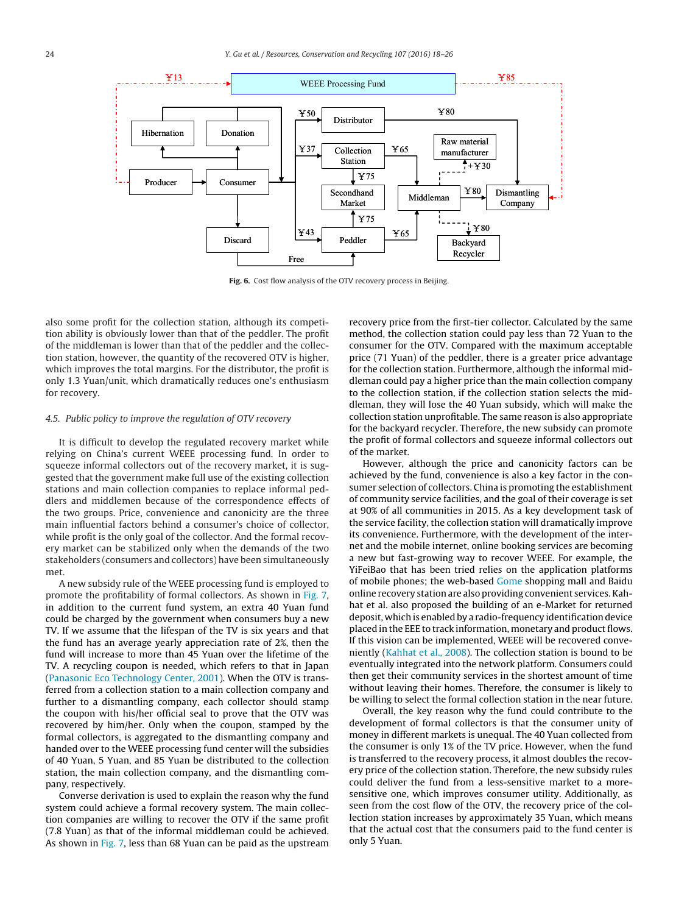<span id="page-6-0"></span>

**Fig. 6.** Cost flow analysis of the OTV recovery process in Beijing.

also some profit for the collection station, although its competition ability is obviously lower than that of the peddler. The profit of the middleman is lower than that of the peddler and the collection station, however, the quantity of the recovered OTV is higher, which improves the total margins. For the distributor, the profit is only 1.3 Yuan/unit, which dramatically reduces one's enthusiasm for recovery.

### 4.5. Public policy to improve the regulation of OTV recovery

It is difficult to develop the regulated recovery market while relying on China's current WEEE processing fund. In order to squeeze informal collectors out of the recovery market, it is suggested that the government make full use of the existing collection stations and main collection companies to replace informal peddlers and middlemen because of the correspondence effects of the two groups. Price, convenience and canonicity are the three main influential factors behind a consumer's choice of collector, while profit is the only goal of the collector. And the formal recovery market can be stabilized only when the demands of the two stakeholders (consumers and collectors) have been simultaneously met.

A new subsidy rule of the WEEE processing fund is employed to promote the profitability of formal collectors. As shown in [Fig.](#page-7-0) 7, in addition to the current fund system, an extra 40 Yuan fund could be charged by the government when consumers buy a new TV. If we assume that the lifespan of the TV is six years and that the fund has an average yearly appreciation rate of 2%, then the fund will increase to more than 45 Yuan over the lifetime of the TV. A recycling coupon is needed, which refers to that in Japan ([Panasonic](#page-8-0) [Eco](#page-8-0) [Technology](#page-8-0) [Center,](#page-8-0) [2001\).](#page-8-0) When the OTV is transferred from a collection station to a main collection company and further to a dismantling company, each collector should stamp the coupon with his/her official seal to prove that the OTV was recovered by him/her. Only when the coupon, stamped by the formal collectors, is aggregated to the dismantling company and handed over to the WEEE processing fund center will the subsidies of 40 Yuan, 5 Yuan, and 85 Yuan be distributed to the collection station, the main collection company, and the dismantling company, respectively.

Converse derivation is used to explain the reason why the fund system could achieve a formal recovery system. The main collection companies are willing to recover the OTV if the same profit (7.8 Yuan) as that of the informal middleman could be achieved. As shown in [Fig.](#page-7-0) 7, less than 68 Yuan can be paid as the upstream

recovery price from the first-tier collector. Calculated by the same method, the collection station could pay less than 72 Yuan to the consumer for the OTV. Compared with the maximum acceptable price (71 Yuan) of the peddler, there is a greater price advantage for the collection station. Furthermore, although the informal middleman could pay a higher price than the main collection company to the collection station, if the collection station selects the middleman, they will lose the 40 Yuan subsidy, which will make the collection station unprofitable. The same reason is also appropriate for the backyard recycler. Therefore, the new subsidy can promote the profit of formal collectors and squeeze informal collectors out of the market.

However, although the price and canonicity factors can be achieved by the fund, convenience is also a key factor in the consumer selection of collectors. China is promoting the establishment of community service facilities, and the goal of their coverage is set at 90% of all communities in 2015. As a key development task of the service facility, the collection station will dramatically improve its convenience. Furthermore, with the development of the internet and the mobile internet, online booking services are becoming a new but fast-growing way to recover WEEE. For example, the YiFeiBao that has been tried relies on the application platforms of mobile phones; the web-based [Gome](#page-8-0) shopping mall and Baidu online recovery station are also providing convenient services.Kahhat et al. also proposed the building of an e-Market for returned deposit, which is enabled by a radio-frequency identification device placed in the EEE to track information, monetary and product flows. If this vision can be implemented, WEEE will be recovered conveniently ([Kahhat](#page-8-0) et [al.,](#page-8-0) [2008\).](#page-8-0) The collection station is bound to be eventually integrated into the network platform. Consumers could then get their community services in the shortest amount of time without leaving their homes. Therefore, the consumer is likely to be willing to select the formal collection station in the near future.

Overall, the key reason why the fund could contribute to the development of formal collectors is that the consumer unity of money in different markets is unequal. The 40 Yuan collected from the consumer is only 1% of the TV price. However, when the fund is transferred to the recovery process, it almost doubles the recovery price of the collection station. Therefore, the new subsidy rules could deliver the fund from a less-sensitive market to a moresensitive one, which improves consumer utility. Additionally, as seen from the cost flow of the OTV, the recovery price of the collection station increases by approximately 35 Yuan, which means that the actual cost that the consumers paid to the fund center is only 5 Yuan.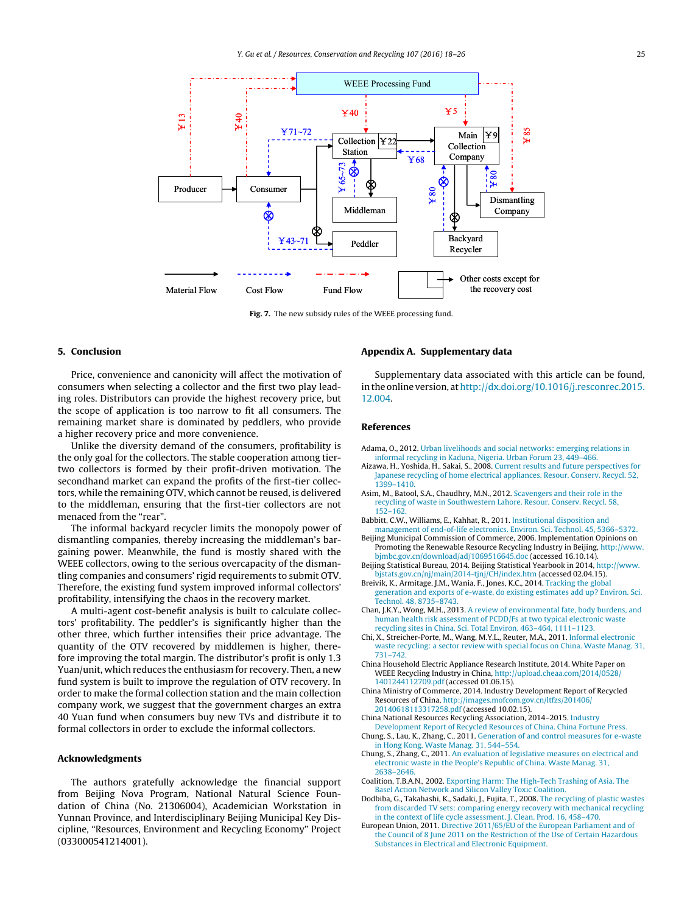<span id="page-7-0"></span>

**Fig. 7.** The new subsidy rules of the WEEE processing fund.

#### **5. Conclusion**

Price, convenience and canonicity will affect the motivation of consumers when selecting a collector and the first two play leading roles. Distributors can provide the highest recovery price, but the scope of application is too narrow to fit all consumers. The remaining market share is dominated by peddlers, who provide a higher recovery price and more convenience.

Unlike the diversity demand of the consumers, profitability is the only goal for the collectors. The stable cooperation among tiertwo collectors is formed by their profit-driven motivation. The secondhand market can expand the profits of the first-tier collectors, while the remaining OTV, which cannot be reused, is delivered to the middleman, ensuring that the first-tier collectors are not menaced from the "rear".

The informal backyard recycler limits the monopoly power of dismantling companies, thereby increasing the middleman's bargaining power. Meanwhile, the fund is mostly shared with the WEEE collectors, owing to the serious overcapacity of the dismantling companies and consumers' rigid requirements to submit OTV. Therefore, the existing fund system improved informal collectors' profitability, intensifying the chaos in the recovery market.

A multi-agent cost-benefit analysis is built to calculate collectors' profitability. The peddler's is significantly higher than the other three, which further intensifies their price advantage. The quantity of the OTV recovered by middlemen is higher, therefore improving the total margin. The distributor's profit is only 1.3 Yuan/unit, which reduces the enthusiasm for recovery. Then, a new fund system is built to improve the regulation of OTV recovery. In order to make the formal collection station and the main collection company work, we suggest that the government charges an extra 40 Yuan fund when consumers buy new TVs and distribute it to formal collectors in order to exclude the informal collectors.

# **Acknowledgments**

The authors gratefully acknowledge the financial support from Beijing Nova Program, National Natural Science Foundation of China (No. 21306004), Academician Workstation in Yunnan Province, and Interdisciplinary Beijing Municipal Key Discipline, "Resources, Environment and Recycling Economy" Project (033000541214001).

# **Appendix A. Supplementary data**

Supplementary data associated with this article can be found, inthe online version, at[http://dx.doi.org/10.1016/j.resconrec.2015.](http://dx.doi.org/10.1016/j.resconrec.2015.12.004) [12.004](http://dx.doi.org/10.1016/j.resconrec.2015.12.004).

# **References**

Adama, O., 2012. [Urban](http://refhub.elsevier.com/S0921-3449(15)30151-8/sbref0005) [livelihoods](http://refhub.elsevier.com/S0921-3449(15)30151-8/sbref0005) [and](http://refhub.elsevier.com/S0921-3449(15)30151-8/sbref0005) [social](http://refhub.elsevier.com/S0921-3449(15)30151-8/sbref0005) [networks:](http://refhub.elsevier.com/S0921-3449(15)30151-8/sbref0005) [emerging](http://refhub.elsevier.com/S0921-3449(15)30151-8/sbref0005) [relations](http://refhub.elsevier.com/S0921-3449(15)30151-8/sbref0005) [in](http://refhub.elsevier.com/S0921-3449(15)30151-8/sbref0005) [informal](http://refhub.elsevier.com/S0921-3449(15)30151-8/sbref0005) [recycling](http://refhub.elsevier.com/S0921-3449(15)30151-8/sbref0005) [in](http://refhub.elsevier.com/S0921-3449(15)30151-8/sbref0005) [Kaduna,](http://refhub.elsevier.com/S0921-3449(15)30151-8/sbref0005) [Nigeria.](http://refhub.elsevier.com/S0921-3449(15)30151-8/sbref0005) [Urban](http://refhub.elsevier.com/S0921-3449(15)30151-8/sbref0005) [Forum](http://refhub.elsevier.com/S0921-3449(15)30151-8/sbref0005) [23,](http://refhub.elsevier.com/S0921-3449(15)30151-8/sbref0005) [449–466.](http://refhub.elsevier.com/S0921-3449(15)30151-8/sbref0005)

- Aizawa, H., Yoshida, H., Sakai, S., 2008. [Current](http://refhub.elsevier.com/S0921-3449(15)30151-8/sbref0010) [results](http://refhub.elsevier.com/S0921-3449(15)30151-8/sbref0010) [and](http://refhub.elsevier.com/S0921-3449(15)30151-8/sbref0010) [future](http://refhub.elsevier.com/S0921-3449(15)30151-8/sbref0010) [perspectives](http://refhub.elsevier.com/S0921-3449(15)30151-8/sbref0010) [for](http://refhub.elsevier.com/S0921-3449(15)30151-8/sbref0010) [Japanese](http://refhub.elsevier.com/S0921-3449(15)30151-8/sbref0010) [recycling](http://refhub.elsevier.com/S0921-3449(15)30151-8/sbref0010) [of](http://refhub.elsevier.com/S0921-3449(15)30151-8/sbref0010) [home](http://refhub.elsevier.com/S0921-3449(15)30151-8/sbref0010) [electrical](http://refhub.elsevier.com/S0921-3449(15)30151-8/sbref0010) [appliances.](http://refhub.elsevier.com/S0921-3449(15)30151-8/sbref0010) [Resour.](http://refhub.elsevier.com/S0921-3449(15)30151-8/sbref0010) [Conserv.](http://refhub.elsevier.com/S0921-3449(15)30151-8/sbref0010) [Recycl.](http://refhub.elsevier.com/S0921-3449(15)30151-8/sbref0010) [52,](http://refhub.elsevier.com/S0921-3449(15)30151-8/sbref0010) [1399](http://refhub.elsevier.com/S0921-3449(15)30151-8/sbref0010)–[1410.](http://refhub.elsevier.com/S0921-3449(15)30151-8/sbref0010)
- Asim, M., Batool, S.A., Chaudhry, M.N., 2012. [Scavengers](http://refhub.elsevier.com/S0921-3449(15)30151-8/sbref0015) [and](http://refhub.elsevier.com/S0921-3449(15)30151-8/sbref0015) [their](http://refhub.elsevier.com/S0921-3449(15)30151-8/sbref0015) [role](http://refhub.elsevier.com/S0921-3449(15)30151-8/sbref0015) [in](http://refhub.elsevier.com/S0921-3449(15)30151-8/sbref0015) [the](http://refhub.elsevier.com/S0921-3449(15)30151-8/sbref0015) [recycling](http://refhub.elsevier.com/S0921-3449(15)30151-8/sbref0015) [of](http://refhub.elsevier.com/S0921-3449(15)30151-8/sbref0015) [waste](http://refhub.elsevier.com/S0921-3449(15)30151-8/sbref0015) [in](http://refhub.elsevier.com/S0921-3449(15)30151-8/sbref0015) [Southwestern](http://refhub.elsevier.com/S0921-3449(15)30151-8/sbref0015) [Lahore.](http://refhub.elsevier.com/S0921-3449(15)30151-8/sbref0015) [Resour.](http://refhub.elsevier.com/S0921-3449(15)30151-8/sbref0015) [Conserv.](http://refhub.elsevier.com/S0921-3449(15)30151-8/sbref0015) [Recycl.](http://refhub.elsevier.com/S0921-3449(15)30151-8/sbref0015) [58,](http://refhub.elsevier.com/S0921-3449(15)30151-8/sbref0015) [152](http://refhub.elsevier.com/S0921-3449(15)30151-8/sbref0015)–[162.](http://refhub.elsevier.com/S0921-3449(15)30151-8/sbref0015)
- Babbitt, C.W., Williams, E., Kahhat, R., 2011. [Institutional](http://refhub.elsevier.com/S0921-3449(15)30151-8/sbref0020) [disposition](http://refhub.elsevier.com/S0921-3449(15)30151-8/sbref0020) [and](http://refhub.elsevier.com/S0921-3449(15)30151-8/sbref0020) [management](http://refhub.elsevier.com/S0921-3449(15)30151-8/sbref0020) [of](http://refhub.elsevier.com/S0921-3449(15)30151-8/sbref0020) [end-of-life](http://refhub.elsevier.com/S0921-3449(15)30151-8/sbref0020) [electronics.](http://refhub.elsevier.com/S0921-3449(15)30151-8/sbref0020) [Environ.](http://refhub.elsevier.com/S0921-3449(15)30151-8/sbref0020) [Sci.](http://refhub.elsevier.com/S0921-3449(15)30151-8/sbref0020) [Technol.](http://refhub.elsevier.com/S0921-3449(15)30151-8/sbref0020) [45,](http://refhub.elsevier.com/S0921-3449(15)30151-8/sbref0020) [5366–5372.](http://refhub.elsevier.com/S0921-3449(15)30151-8/sbref0020)
- Beijing Municipal Commission of Commerce, 2006. Implementation Opinions on Promoting the Renewable Resource Recycling Industry in Beijing, [http://www.](http://www.bjmbc.gov.cn/download/ad/1069516645.doc) [bjmbc.gov.cn/download/ad/1069516645.doc](http://www.bjmbc.gov.cn/download/ad/1069516645.doc) (accessed 16.10.14).
- Beijing Statistical Bureau, 2014. Beijing Statistical Yearbook in 2014, [http://www.](http://www.bjstats.gov.cn/nj/main/2014-tjnj/CH/index.htm) [bjstats.gov.cn/nj/main/2014-tjnj/CH/index.htm](http://www.bjstats.gov.cn/nj/main/2014-tjnj/CH/index.htm) (accessed 02.04.15).
- Breivik, K., Armitage, J.M., Wania, F., Jones, K.C., 2014. [Tracking](http://refhub.elsevier.com/S0921-3449(15)30151-8/sbref0035) [the](http://refhub.elsevier.com/S0921-3449(15)30151-8/sbref0035) [global](http://refhub.elsevier.com/S0921-3449(15)30151-8/sbref0035) [generation](http://refhub.elsevier.com/S0921-3449(15)30151-8/sbref0035) [and](http://refhub.elsevier.com/S0921-3449(15)30151-8/sbref0035) [exports](http://refhub.elsevier.com/S0921-3449(15)30151-8/sbref0035) [of](http://refhub.elsevier.com/S0921-3449(15)30151-8/sbref0035) [e-waste,](http://refhub.elsevier.com/S0921-3449(15)30151-8/sbref0035) [do](http://refhub.elsevier.com/S0921-3449(15)30151-8/sbref0035) [existing](http://refhub.elsevier.com/S0921-3449(15)30151-8/sbref0035) [estimates](http://refhub.elsevier.com/S0921-3449(15)30151-8/sbref0035) [add](http://refhub.elsevier.com/S0921-3449(15)30151-8/sbref0035) [up?](http://refhub.elsevier.com/S0921-3449(15)30151-8/sbref0035) [Environ.](http://refhub.elsevier.com/S0921-3449(15)30151-8/sbref0035) [Sci.](http://refhub.elsevier.com/S0921-3449(15)30151-8/sbref0035) [Technol.](http://refhub.elsevier.com/S0921-3449(15)30151-8/sbref0035) [48,](http://refhub.elsevier.com/S0921-3449(15)30151-8/sbref0035) [8735](http://refhub.elsevier.com/S0921-3449(15)30151-8/sbref0035)–[8743.](http://refhub.elsevier.com/S0921-3449(15)30151-8/sbref0035)
- Chan, J.K.Y., Wong, M.H., 2013. [A](http://refhub.elsevier.com/S0921-3449(15)30151-8/sbref0040) [review](http://refhub.elsevier.com/S0921-3449(15)30151-8/sbref0040) [of](http://refhub.elsevier.com/S0921-3449(15)30151-8/sbref0040) [environmental](http://refhub.elsevier.com/S0921-3449(15)30151-8/sbref0040) [fate,](http://refhub.elsevier.com/S0921-3449(15)30151-8/sbref0040) [body](http://refhub.elsevier.com/S0921-3449(15)30151-8/sbref0040) [burdens,](http://refhub.elsevier.com/S0921-3449(15)30151-8/sbref0040) [and](http://refhub.elsevier.com/S0921-3449(15)30151-8/sbref0040) [human](http://refhub.elsevier.com/S0921-3449(15)30151-8/sbref0040) [health](http://refhub.elsevier.com/S0921-3449(15)30151-8/sbref0040) [risk](http://refhub.elsevier.com/S0921-3449(15)30151-8/sbref0040) [assessment](http://refhub.elsevier.com/S0921-3449(15)30151-8/sbref0040) [of](http://refhub.elsevier.com/S0921-3449(15)30151-8/sbref0040) [PCDD/Fs](http://refhub.elsevier.com/S0921-3449(15)30151-8/sbref0040) [at](http://refhub.elsevier.com/S0921-3449(15)30151-8/sbref0040) [two](http://refhub.elsevier.com/S0921-3449(15)30151-8/sbref0040) [typical](http://refhub.elsevier.com/S0921-3449(15)30151-8/sbref0040) [electronic](http://refhub.elsevier.com/S0921-3449(15)30151-8/sbref0040) [waste](http://refhub.elsevier.com/S0921-3449(15)30151-8/sbref0040) [recycling](http://refhub.elsevier.com/S0921-3449(15)30151-8/sbref0040) [sites](http://refhub.elsevier.com/S0921-3449(15)30151-8/sbref0040) [in](http://refhub.elsevier.com/S0921-3449(15)30151-8/sbref0040) [China.](http://refhub.elsevier.com/S0921-3449(15)30151-8/sbref0040) [Sci.](http://refhub.elsevier.com/S0921-3449(15)30151-8/sbref0040) [Total](http://refhub.elsevier.com/S0921-3449(15)30151-8/sbref0040) [Environ.](http://refhub.elsevier.com/S0921-3449(15)30151-8/sbref0040) [463–464,](http://refhub.elsevier.com/S0921-3449(15)30151-8/sbref0040) [1111–1123.](http://refhub.elsevier.com/S0921-3449(15)30151-8/sbref0040)
- Chi, X., Streicher-Porte, M., Wang, M.Y.L., Reuter, M.A., 2011. [Informal](http://refhub.elsevier.com/S0921-3449(15)30151-8/sbref0045) [electronic](http://refhub.elsevier.com/S0921-3449(15)30151-8/sbref0045) [waste](http://refhub.elsevier.com/S0921-3449(15)30151-8/sbref0045) [recycling:](http://refhub.elsevier.com/S0921-3449(15)30151-8/sbref0045) [a](http://refhub.elsevier.com/S0921-3449(15)30151-8/sbref0045) [sector](http://refhub.elsevier.com/S0921-3449(15)30151-8/sbref0045) [review](http://refhub.elsevier.com/S0921-3449(15)30151-8/sbref0045) [with](http://refhub.elsevier.com/S0921-3449(15)30151-8/sbref0045) [special](http://refhub.elsevier.com/S0921-3449(15)30151-8/sbref0045) [focus](http://refhub.elsevier.com/S0921-3449(15)30151-8/sbref0045) [on](http://refhub.elsevier.com/S0921-3449(15)30151-8/sbref0045) [China.](http://refhub.elsevier.com/S0921-3449(15)30151-8/sbref0045) [Waste](http://refhub.elsevier.com/S0921-3449(15)30151-8/sbref0045) [Manag.](http://refhub.elsevier.com/S0921-3449(15)30151-8/sbref0045) [31,](http://refhub.elsevier.com/S0921-3449(15)30151-8/sbref0045) [731–742.](http://refhub.elsevier.com/S0921-3449(15)30151-8/sbref0045)
- China Household Electric Appliance Research Institute, 2014. White Paper on WEEE Recycling Industry in China, [http://upload.cheaa.com/2014/0528/](http://upload.cheaa.com/2014/0528/1401244112709.pdf) [1401244112709.pdf](http://upload.cheaa.com/2014/0528/1401244112709.pdf) (accessed 01.06.15).
- China Ministry of Commerce, 2014. Industry Development Report of Recycled Resources of China, [http://images.mofcom.gov.cn/ltfzs/201406/](http://images.mofcom.gov.cn/ltfzs/201406/20140618113317258.pdf) [20140618113317258.pdf](http://images.mofcom.gov.cn/ltfzs/201406/20140618113317258.pdf) (accessed 10.02.15).

China National Resources Recycling Association, 2014–2015. [Industry](http://refhub.elsevier.com/S0921-3449(15)30151-8/sbref0060) [Development](http://refhub.elsevier.com/S0921-3449(15)30151-8/sbref0060) [Report](http://refhub.elsevier.com/S0921-3449(15)30151-8/sbref0060) [of](http://refhub.elsevier.com/S0921-3449(15)30151-8/sbref0060) [Recycled](http://refhub.elsevier.com/S0921-3449(15)30151-8/sbref0060) [Resources](http://refhub.elsevier.com/S0921-3449(15)30151-8/sbref0060) [of](http://refhub.elsevier.com/S0921-3449(15)30151-8/sbref0060) [China.](http://refhub.elsevier.com/S0921-3449(15)30151-8/sbref0060) [China](http://refhub.elsevier.com/S0921-3449(15)30151-8/sbref0060) [Fortune](http://refhub.elsevier.com/S0921-3449(15)30151-8/sbref0060) [Press.](http://refhub.elsevier.com/S0921-3449(15)30151-8/sbref0060)

- Chung, S., Lau, K., Zhang, C., 2011. [Generation](http://refhub.elsevier.com/S0921-3449(15)30151-8/sbref0065) [of](http://refhub.elsevier.com/S0921-3449(15)30151-8/sbref0065) [and](http://refhub.elsevier.com/S0921-3449(15)30151-8/sbref0065) [control](http://refhub.elsevier.com/S0921-3449(15)30151-8/sbref0065) [measures](http://refhub.elsevier.com/S0921-3449(15)30151-8/sbref0065) [for](http://refhub.elsevier.com/S0921-3449(15)30151-8/sbref0065) [e-waste](http://refhub.elsevier.com/S0921-3449(15)30151-8/sbref0065) [in](http://refhub.elsevier.com/S0921-3449(15)30151-8/sbref0065) [Hong](http://refhub.elsevier.com/S0921-3449(15)30151-8/sbref0065) [Kong.](http://refhub.elsevier.com/S0921-3449(15)30151-8/sbref0065) [Waste](http://refhub.elsevier.com/S0921-3449(15)30151-8/sbref0065) [Manag.](http://refhub.elsevier.com/S0921-3449(15)30151-8/sbref0065) [31,](http://refhub.elsevier.com/S0921-3449(15)30151-8/sbref0065) [544–554.](http://refhub.elsevier.com/S0921-3449(15)30151-8/sbref0065)
- Chung, S., Zhang, C., 2011. [An](http://refhub.elsevier.com/S0921-3449(15)30151-8/sbref0070) [evaluation](http://refhub.elsevier.com/S0921-3449(15)30151-8/sbref0070) [of](http://refhub.elsevier.com/S0921-3449(15)30151-8/sbref0070) [legislative](http://refhub.elsevier.com/S0921-3449(15)30151-8/sbref0070) [measures](http://refhub.elsevier.com/S0921-3449(15)30151-8/sbref0070) [on](http://refhub.elsevier.com/S0921-3449(15)30151-8/sbref0070) [electrical](http://refhub.elsevier.com/S0921-3449(15)30151-8/sbref0070) [and](http://refhub.elsevier.com/S0921-3449(15)30151-8/sbref0070) [electronic](http://refhub.elsevier.com/S0921-3449(15)30151-8/sbref0070) [waste](http://refhub.elsevier.com/S0921-3449(15)30151-8/sbref0070) [in](http://refhub.elsevier.com/S0921-3449(15)30151-8/sbref0070) [the](http://refhub.elsevier.com/S0921-3449(15)30151-8/sbref0070) [People's](http://refhub.elsevier.com/S0921-3449(15)30151-8/sbref0070) [Republic](http://refhub.elsevier.com/S0921-3449(15)30151-8/sbref0070) [of](http://refhub.elsevier.com/S0921-3449(15)30151-8/sbref0070) [China.](http://refhub.elsevier.com/S0921-3449(15)30151-8/sbref0070) [Waste](http://refhub.elsevier.com/S0921-3449(15)30151-8/sbref0070) [Manag.](http://refhub.elsevier.com/S0921-3449(15)30151-8/sbref0070) [31,](http://refhub.elsevier.com/S0921-3449(15)30151-8/sbref0070) [2638](http://refhub.elsevier.com/S0921-3449(15)30151-8/sbref0070)–[2646.](http://refhub.elsevier.com/S0921-3449(15)30151-8/sbref0070)
- Coalition, T.B.A.N., 2002. [Exporting](http://refhub.elsevier.com/S0921-3449(15)30151-8/sbref0075) [Harm:](http://refhub.elsevier.com/S0921-3449(15)30151-8/sbref0075) [The](http://refhub.elsevier.com/S0921-3449(15)30151-8/sbref0075) [High-Tech](http://refhub.elsevier.com/S0921-3449(15)30151-8/sbref0075) [Trashing](http://refhub.elsevier.com/S0921-3449(15)30151-8/sbref0075) [of](http://refhub.elsevier.com/S0921-3449(15)30151-8/sbref0075) [Asia.](http://refhub.elsevier.com/S0921-3449(15)30151-8/sbref0075) [The](http://refhub.elsevier.com/S0921-3449(15)30151-8/sbref0075) [Basel](http://refhub.elsevier.com/S0921-3449(15)30151-8/sbref0075) [Action](http://refhub.elsevier.com/S0921-3449(15)30151-8/sbref0075) [Network](http://refhub.elsevier.com/S0921-3449(15)30151-8/sbref0075) [and](http://refhub.elsevier.com/S0921-3449(15)30151-8/sbref0075) [Silicon](http://refhub.elsevier.com/S0921-3449(15)30151-8/sbref0075) [Valley](http://refhub.elsevier.com/S0921-3449(15)30151-8/sbref0075) [Toxic](http://refhub.elsevier.com/S0921-3449(15)30151-8/sbref0075) [Coalition.](http://refhub.elsevier.com/S0921-3449(15)30151-8/sbref0075)
- Dodbiba, G., Takahashi, K., Sadaki, J., Fujita, T., 2008. [The](http://refhub.elsevier.com/S0921-3449(15)30151-8/sbref0080) [recycling](http://refhub.elsevier.com/S0921-3449(15)30151-8/sbref0080) [of](http://refhub.elsevier.com/S0921-3449(15)30151-8/sbref0080) [plastic](http://refhub.elsevier.com/S0921-3449(15)30151-8/sbref0080) [wastes](http://refhub.elsevier.com/S0921-3449(15)30151-8/sbref0080) [from](http://refhub.elsevier.com/S0921-3449(15)30151-8/sbref0080) [discarded](http://refhub.elsevier.com/S0921-3449(15)30151-8/sbref0080) [TV](http://refhub.elsevier.com/S0921-3449(15)30151-8/sbref0080) [sets:](http://refhub.elsevier.com/S0921-3449(15)30151-8/sbref0080) [comparing](http://refhub.elsevier.com/S0921-3449(15)30151-8/sbref0080) [energy](http://refhub.elsevier.com/S0921-3449(15)30151-8/sbref0080) [recovery](http://refhub.elsevier.com/S0921-3449(15)30151-8/sbref0080) [with](http://refhub.elsevier.com/S0921-3449(15)30151-8/sbref0080) [mechanical](http://refhub.elsevier.com/S0921-3449(15)30151-8/sbref0080) [recycling](http://refhub.elsevier.com/S0921-3449(15)30151-8/sbref0080) [in](http://refhub.elsevier.com/S0921-3449(15)30151-8/sbref0080) [the](http://refhub.elsevier.com/S0921-3449(15)30151-8/sbref0080) [context](http://refhub.elsevier.com/S0921-3449(15)30151-8/sbref0080) [of](http://refhub.elsevier.com/S0921-3449(15)30151-8/sbref0080) [life](http://refhub.elsevier.com/S0921-3449(15)30151-8/sbref0080) [cycle](http://refhub.elsevier.com/S0921-3449(15)30151-8/sbref0080) [assessment.](http://refhub.elsevier.com/S0921-3449(15)30151-8/sbref0080) [J.](http://refhub.elsevier.com/S0921-3449(15)30151-8/sbref0080) [Clean.](http://refhub.elsevier.com/S0921-3449(15)30151-8/sbref0080) [Prod.](http://refhub.elsevier.com/S0921-3449(15)30151-8/sbref0080) [16,](http://refhub.elsevier.com/S0921-3449(15)30151-8/sbref0080) [458–470.](http://refhub.elsevier.com/S0921-3449(15)30151-8/sbref0080)
- European Union, 2011. [Directive](http://refhub.elsevier.com/S0921-3449(15)30151-8/sbref0085) [2011/65/EU](http://refhub.elsevier.com/S0921-3449(15)30151-8/sbref0085) [of](http://refhub.elsevier.com/S0921-3449(15)30151-8/sbref0085) [the](http://refhub.elsevier.com/S0921-3449(15)30151-8/sbref0085) [European](http://refhub.elsevier.com/S0921-3449(15)30151-8/sbref0085) [Parliament](http://refhub.elsevier.com/S0921-3449(15)30151-8/sbref0085) [and](http://refhub.elsevier.com/S0921-3449(15)30151-8/sbref0085) [of](http://refhub.elsevier.com/S0921-3449(15)30151-8/sbref0085) [the](http://refhub.elsevier.com/S0921-3449(15)30151-8/sbref0085) [Council](http://refhub.elsevier.com/S0921-3449(15)30151-8/sbref0085) [of](http://refhub.elsevier.com/S0921-3449(15)30151-8/sbref0085) [8](http://refhub.elsevier.com/S0921-3449(15)30151-8/sbref0085) [June](http://refhub.elsevier.com/S0921-3449(15)30151-8/sbref0085) [2011](http://refhub.elsevier.com/S0921-3449(15)30151-8/sbref0085) [on](http://refhub.elsevier.com/S0921-3449(15)30151-8/sbref0085) [the](http://refhub.elsevier.com/S0921-3449(15)30151-8/sbref0085) [Restriction](http://refhub.elsevier.com/S0921-3449(15)30151-8/sbref0085) [of](http://refhub.elsevier.com/S0921-3449(15)30151-8/sbref0085) [the](http://refhub.elsevier.com/S0921-3449(15)30151-8/sbref0085) [Use](http://refhub.elsevier.com/S0921-3449(15)30151-8/sbref0085) [of](http://refhub.elsevier.com/S0921-3449(15)30151-8/sbref0085) [Certain](http://refhub.elsevier.com/S0921-3449(15)30151-8/sbref0085) [Hazardous](http://refhub.elsevier.com/S0921-3449(15)30151-8/sbref0085) [Substances](http://refhub.elsevier.com/S0921-3449(15)30151-8/sbref0085) [in](http://refhub.elsevier.com/S0921-3449(15)30151-8/sbref0085) [Electrical](http://refhub.elsevier.com/S0921-3449(15)30151-8/sbref0085) [and](http://refhub.elsevier.com/S0921-3449(15)30151-8/sbref0085) [Electronic](http://refhub.elsevier.com/S0921-3449(15)30151-8/sbref0085) [Equipment.](http://refhub.elsevier.com/S0921-3449(15)30151-8/sbref0085)